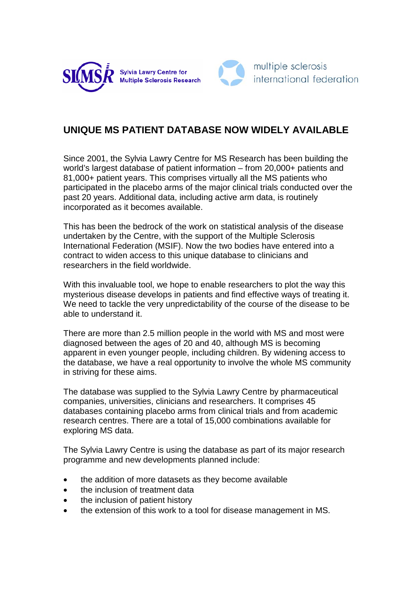



## **UNIQUE MS PATIENT DATABASE NOW WIDELY AVAILABLE**

Since 2001, the Sylvia Lawry Centre for MS Research has been building the world's largest database of patient information – from 20,000+ patients and 81,000+ patient years. This comprises virtually all the MS patients who participated in the placebo arms of the major clinical trials conducted over the past 20 years. Additional data, including active arm data, is routinely incorporated as it becomes available.

This has been the bedrock of the work on statistical analysis of the disease undertaken by the Centre, with the support of the Multiple Sclerosis International Federation (MSIF). Now the two bodies have entered into a contract to widen access to this unique database to clinicians and researchers in the field worldwide.

With this invaluable tool, we hope to enable researchers to plot the way this mysterious disease develops in patients and find effective ways of treating it. We need to tackle the very unpredictability of the course of the disease to be able to understand it.

There are more than 2.5 million people in the world with MS and most were diagnosed between the ages of 20 and 40, although MS is becoming apparent in even younger people, including children. By widening access to the database, we have a real opportunity to involve the whole MS community in striving for these aims.

The database was supplied to the Sylvia Lawry Centre by pharmaceutical companies, universities, clinicians and researchers. It comprises 45 databases containing placebo arms from clinical trials and from academic research centres. There are a total of 15,000 combinations available for exploring MS data.

The Sylvia Lawry Centre is using the database as part of its major research programme and new developments planned include:

- the addition of more datasets as they become available
- the inclusion of treatment data
- the inclusion of patient history
- the extension of this work to a tool for disease management in MS.